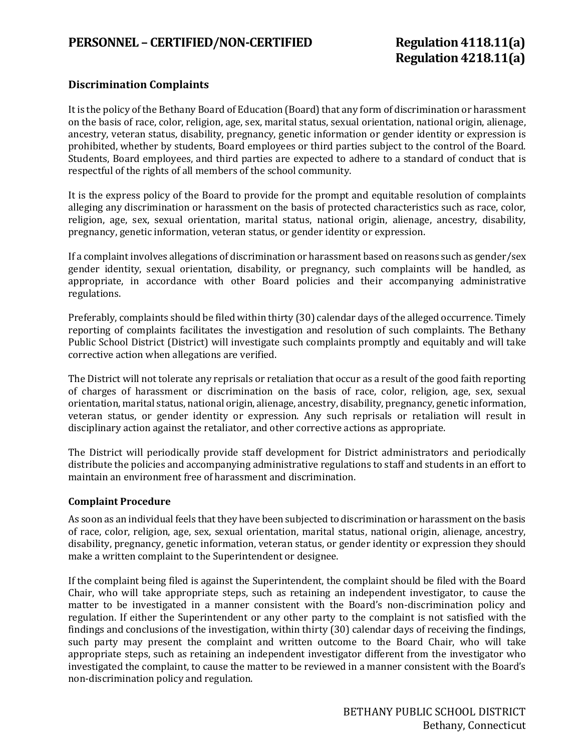#### **Discrimination Complaints**

It is the policy of the Bethany Board of Education (Board) that any form of discrimination or harassment on the basis of race, color, religion, age, sex, marital status, sexual orientation, national origin, alienage, ancestry, veteran status, disability, pregnancy, genetic information or gender identity or expression is prohibited, whether by students, Board employees or third parties subject to the control of the Board. Students, Board employees, and third parties are expected to adhere to a standard of conduct that is respectful of the rights of all members of the school community.

It is the express policy of the Board to provide for the prompt and equitable resolution of complaints alleging any discrimination or harassment on the basis of protected characteristics such as race, color, religion, age, sex, sexual orientation, marital status, national origin, alienage, ancestry, disability, pregnancy, genetic information, veteran status, or gender identity or expression.

If a complaint involves allegations of discrimination or harassment based on reasons such as gender/sex gender identity, sexual orientation, disability, or pregnancy, such complaints will be handled, as appropriate, in accordance with other Board policies and their accompanying administrative regulations.

Preferably, complaints should be filed within thirty (30) calendar days of the alleged occurrence. Timely reporting of complaints facilitates the investigation and resolution of such complaints. The Bethany Public School District (District) will investigate such complaints promptly and equitably and will take corrective action when allegations are verified.

The District will not tolerate any reprisals or retaliation that occur as a result of the good faith reporting of charges of harassment or discrimination on the basis of race, color, religion, age, sex, sexual orientation, marital status, national origin, alienage, ancestry, disability, pregnancy, genetic information, veteran status, or gender identity or expression. Any such reprisals or retaliation will result in disciplinary action against the retaliator, and other corrective actions as appropriate.

The District will periodically provide staff development for District administrators and periodically distribute the policies and accompanying administrative regulations to staff and students in an effort to maintain an environment free of harassment and discrimination.

#### **Complaint Procedure**

As soon as an individual feels that they have been subjected to discrimination or harassment on the basis of race, color, religion, age, sex, sexual orientation, marital status, national origin, alienage, ancestry, disability, pregnancy, genetic information, veteran status, or gender identity or expression they should make a written complaint to the Superintendent or designee.

If the complaint being filed is against the Superintendent, the complaint should be filed with the Board Chair, who will take appropriate steps, such as retaining an independent investigator, to cause the matter to be investigated in a manner consistent with the Board's non-discrimination policy and regulation. If either the Superintendent or any other party to the complaint is not satisfied with the findings and conclusions of the investigation, within thirty (30) calendar days of receiving the findings, such party may present the complaint and written outcome to the Board Chair, who will take appropriate steps, such as retaining an independent investigator different from the investigator who investigated the complaint, to cause the matter to be reviewed in a manner consistent with the Board's non-discrimination policy and regulation.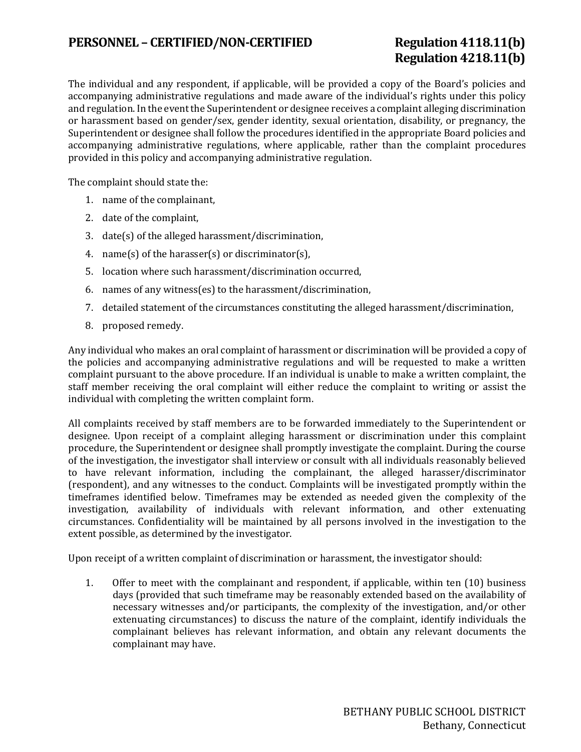### PERSONNEL – CERTIFIED/NON-CERTIFIED Regulation 4118.11(b)

# **Regulation 4218.11(b)**

The individual and any respondent, if applicable, will be provided a copy of the Board's policies and accompanying administrative regulations and made aware of the individual's rights under this policy and regulation. In the event the Superintendent or designee receives a complaint alleging discrimination or harassment based on gender/sex, gender identity, sexual orientation, disability, or pregnancy, the Superintendent or designee shall follow the procedures identified in the appropriate Board policies and accompanying administrative regulations, where applicable, rather than the complaint procedures provided in this policy and accompanying administrative regulation.

The complaint should state the:

- 1. name of the complainant,
- 2. date of the complaint,
- 3. date(s) of the alleged harassment/discrimination,
- 4. name(s) of the harasser(s) or discriminator(s),
- 5. location where such harassment/discrimination occurred,
- 6. names of any witness(es) to the harassment/discrimination,
- 7. detailed statement of the circumstances constituting the alleged harassment/discrimination,
- 8. proposed remedy.

Any individual who makes an oral complaint of harassment or discrimination will be provided a copy of the policies and accompanying administrative regulations and will be requested to make a written complaint pursuant to the above procedure. If an individual is unable to make a written complaint, the staff member receiving the oral complaint will either reduce the complaint to writing or assist the individual with completing the written complaint form.

All complaints received by staff members are to be forwarded immediately to the Superintendent or designee. Upon receipt of a complaint alleging harassment or discrimination under this complaint procedure, the Superintendent or designee shall promptly investigate the complaint. During the course of the investigation, the investigator shall interview or consult with all individuals reasonably believed to have relevant information, including the complainant, the alleged harasser/discriminator (respondent), and any witnesses to the conduct. Complaints will be investigated promptly within the timeframes identified below. Timeframes may be extended as needed given the complexity of the investigation, availability of individuals with relevant information, and other extenuating circumstances. Confidentiality will be maintained by all persons involved in the investigation to the extent possible, as determined by the investigator.

Upon receipt of a written complaint of discrimination or harassment, the investigator should:

1. Offer to meet with the complainant and respondent, if applicable, within ten (10) business days (provided that such timeframe may be reasonably extended based on the availability of necessary witnesses and/or participants, the complexity of the investigation, and/or other extenuating circumstances) to discuss the nature of the complaint, identify individuals the complainant believes has relevant information, and obtain any relevant documents the complainant may have.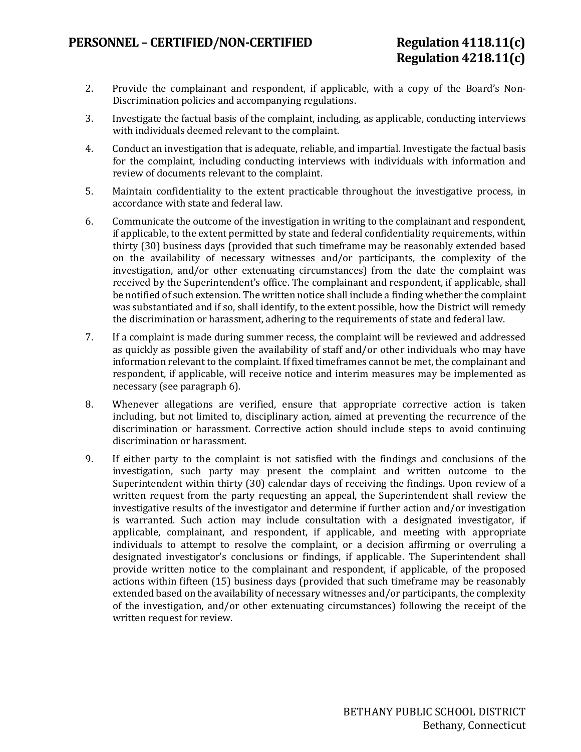- 2. Provide the complainant and respondent, if applicable, with a copy of the Board's Non-Discrimination policies and accompanying regulations.
- 3. Investigate the factual basis of the complaint, including, as applicable, conducting interviews with individuals deemed relevant to the complaint.
- 4. Conduct an investigation that is adequate, reliable, and impartial. Investigate the factual basis for the complaint, including conducting interviews with individuals with information and review of documents relevant to the complaint.
- 5. Maintain confidentiality to the extent practicable throughout the investigative process, in accordance with state and federal law.
- 6. Communicate the outcome of the investigation in writing to the complainant and respondent, if applicable, to the extent permitted by state and federal confidentiality requirements, within thirty (30) business days (provided that such timeframe may be reasonably extended based on the availability of necessary witnesses and/or participants, the complexity of the investigation, and/or other extenuating circumstances) from the date the complaint was received by the Superintendent's office. The complainant and respondent, if applicable, shall be notified of such extension. The written notice shall include a finding whether the complaint was substantiated and if so, shall identify, to the extent possible, how the District will remedy the discrimination or harassment, adhering to the requirements of state and federal law.
- 7. If a complaint is made during summer recess, the complaint will be reviewed and addressed as quickly as possible given the availability of staff and/or other individuals who may have information relevant to the complaint. If fixed timeframes cannot be met, the complainant and respondent, if applicable, will receive notice and interim measures may be implemented as necessary (see paragraph 6).
- 8. Whenever allegations are verified, ensure that appropriate corrective action is taken including, but not limited to, disciplinary action, aimed at preventing the recurrence of the discrimination or harassment. Corrective action should include steps to avoid continuing discrimination or harassment.
- 9. If either party to the complaint is not satisfied with the findings and conclusions of the investigation, such party may present the complaint and written outcome to the Superintendent within thirty (30) calendar days of receiving the findings. Upon review of a written request from the party requesting an appeal, the Superintendent shall review the investigative results of the investigator and determine if further action and/or investigation is warranted. Such action may include consultation with a designated investigator, if applicable, complainant, and respondent, if applicable, and meeting with appropriate individuals to attempt to resolve the complaint, or a decision affirming or overruling a designated investigator's conclusions or findings, if applicable. The Superintendent shall provide written notice to the complainant and respondent, if applicable, of the proposed actions within fifteen (15) business days (provided that such timeframe may be reasonably extended based on the availability of necessary witnesses and/or participants, the complexity of the investigation, and/or other extenuating circumstances) following the receipt of the written request for review.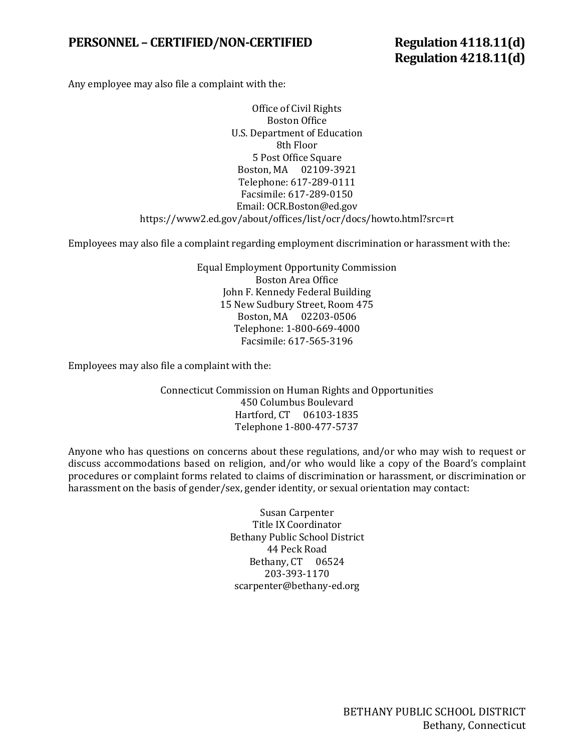### PERSONNEL – CERTIFIED/NON-CERTIFIED Regulation 4118.11(d)

**Regulation 4218.11(d)** 

Any employee may also file a complaint with the:

Office of Civil Rights Boston Office U.S. Department of Education 8th Floor 5 Post Office Square Boston, MA 02109-3921 Telephone: 617-289-0111 Facsimile: 617-289-0150 [Email: OCR.Boston@ed.gov](mailto:OCR.Boston@ed.gov) https://www2.ed.gov/about/offices/list/ocr/docs/howto.html?src=rt

Employees may also file a complaint regarding employment discrimination or harassment with the:

Equal Employment Opportunity Commission Boston Area Office John F. Kennedy Federal Building 15 New Sudbury Street, Room 475 Boston, MA 02203-0506 Telephone: 1-800-669-4000 Facsimile: 617-565-3196

Employees may also file a complaint with the:

Connecticut Commission on Human Rights and Opportunities 450 Columbus Boulevard Hartford, CT 06103-1835 Telephone 1-800-477-5737

Anyone who has questions on concerns about these regulations, and/or who may wish to request or discuss accommodations based on religion, and/or who would like a copy of the Board's complaint procedures or complaint forms related to claims of discrimination or harassment, or discrimination or harassment on the basis of gender/sex, gender identity, or sexual orientation may contact:

> Susan Carpenter Title IX Coordinator Bethany Public School District 44 Peck Road Bethany, CT 06524 203-393-1170 [scarpenter@bethany-ed.org](mailto:scarpenter@bethany-ed.org)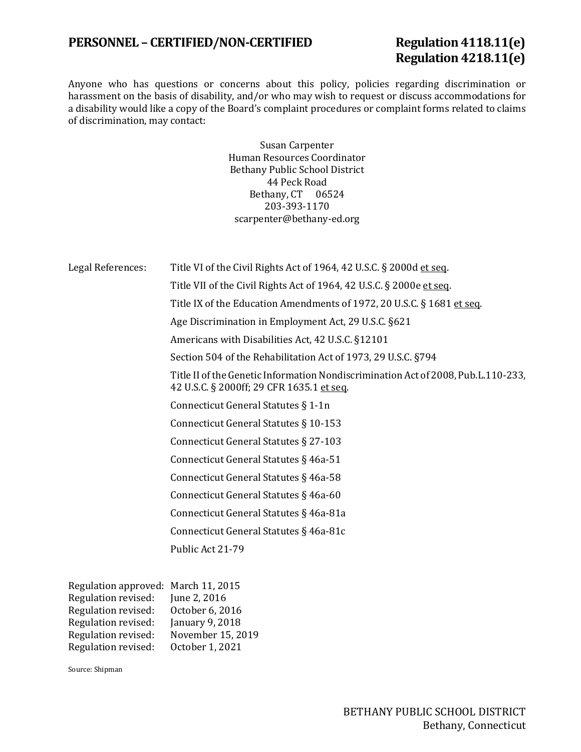## **PERSONNEL – CERTIFIED/NON-CERTIFIED Regulation 4118.11(e)**

# **Regulation 4218.11(e)**

Anyone who has questions or concerns about this policy, policies regarding discrimination or harassment on the basis of disability, and/or who may wish to request or discuss accommodations for a disability would like a copy of the Board's complaint procedures or complaint forms related to claims of discrimination, may contact:

> Susan Carpenter Human Resources Coordinator Bethany Public School District 44 Peck Road Bethany, CT 06524 203-393-1170 [scarpenter@bethany-ed.org](mailto:scarpenter@bethany-ed.org)

| Legal References:                                                                                                                                                                                                                                                                                                                                                                                                           | Title VI of the Civil Rights Act of 1964, 42 U.S.C. § 2000d et seq.                                                            |
|-----------------------------------------------------------------------------------------------------------------------------------------------------------------------------------------------------------------------------------------------------------------------------------------------------------------------------------------------------------------------------------------------------------------------------|--------------------------------------------------------------------------------------------------------------------------------|
|                                                                                                                                                                                                                                                                                                                                                                                                                             | Title VII of the Civil Rights Act of 1964, 42 U.S.C. § 2000e et seq.                                                           |
|                                                                                                                                                                                                                                                                                                                                                                                                                             | Title IX of the Education Amendments of 1972, 20 U.S.C. § 1681 et seq.                                                         |
|                                                                                                                                                                                                                                                                                                                                                                                                                             | Age Discrimination in Employment Act, 29 U.S.C. §621                                                                           |
|                                                                                                                                                                                                                                                                                                                                                                                                                             | Americans with Disabilities Act, 42 U.S.C. §12101                                                                              |
|                                                                                                                                                                                                                                                                                                                                                                                                                             | Section 504 of the Rehabilitation Act of 1973, 29 U.S.C. §794                                                                  |
|                                                                                                                                                                                                                                                                                                                                                                                                                             | Title II of the Genetic Information Nondiscrimination Act of 2008, Pub.L.110-233,<br>42 U.S.C. § 2000ff; 29 CFR 1635.1 et seq. |
|                                                                                                                                                                                                                                                                                                                                                                                                                             | Connecticut General Statutes § 1-1n                                                                                            |
|                                                                                                                                                                                                                                                                                                                                                                                                                             | Connecticut General Statutes § 10-153                                                                                          |
|                                                                                                                                                                                                                                                                                                                                                                                                                             | Connecticut General Statutes § 27-103                                                                                          |
|                                                                                                                                                                                                                                                                                                                                                                                                                             | Connecticut General Statutes § 46a-51                                                                                          |
|                                                                                                                                                                                                                                                                                                                                                                                                                             | Connecticut General Statutes § 46a-58                                                                                          |
|                                                                                                                                                                                                                                                                                                                                                                                                                             | Connecticut General Statutes § 46a-60                                                                                          |
|                                                                                                                                                                                                                                                                                                                                                                                                                             | Connecticut General Statutes § 46a-81a                                                                                         |
|                                                                                                                                                                                                                                                                                                                                                                                                                             | Connecticut General Statutes § 46a-81c                                                                                         |
|                                                                                                                                                                                                                                                                                                                                                                                                                             | Public Act 21-79                                                                                                               |
| Regulation approved: March 11, 2015<br>$\overline{a}$ $\overline{b}$ $\overline{c}$ $\overline{d}$ $\overline{d}$ $\overline{d}$ $\overline{d}$ $\overline{d}$ $\overline{d}$ $\overline{d}$ $\overline{d}$ $\overline{d}$ $\overline{d}$ $\overline{d}$ $\overline{d}$ $\overline{d}$ $\overline{d}$ $\overline{d}$ $\overline{d}$ $\overline{d}$ $\overline{d}$ $\overline{d}$ $\overline{d}$ $\overline{d}$ $\overline{$ |                                                                                                                                |

| Regulation approved: March II, 2015 |                   |
|-------------------------------------|-------------------|
| Regulation revised:                 | June 2, 2016      |
| Regulation revised:                 | October 6, 2016   |
| Regulation revised:                 | January 9, 2018   |
| Regulation revised:                 | November 15, 2019 |
| Regulation revised:                 | October 1, 2021   |
|                                     |                   |

Source: Shipman